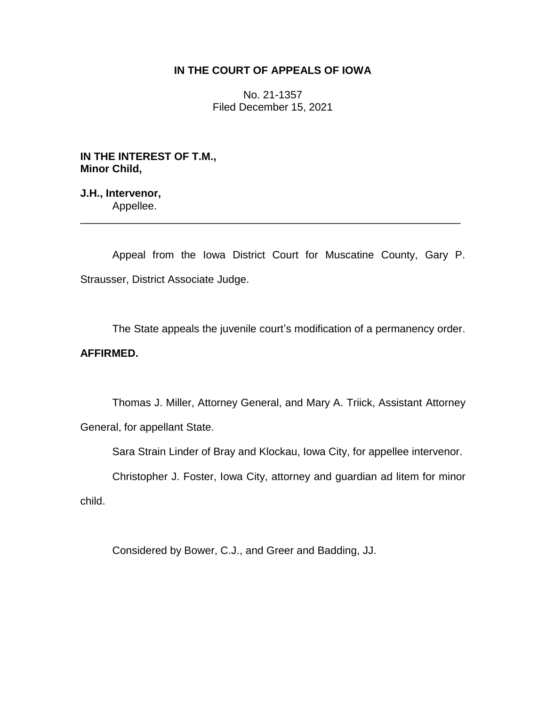## **IN THE COURT OF APPEALS OF IOWA**

No. 21-1357 Filed December 15, 2021

**IN THE INTEREST OF T.M., Minor Child,**

**J.H., Intervenor,** Appellee.

Appeal from the Iowa District Court for Muscatine County, Gary P. Strausser, District Associate Judge.

\_\_\_\_\_\_\_\_\_\_\_\_\_\_\_\_\_\_\_\_\_\_\_\_\_\_\_\_\_\_\_\_\_\_\_\_\_\_\_\_\_\_\_\_\_\_\_\_\_\_\_\_\_\_\_\_\_\_\_\_\_\_\_\_

The State appeals the juvenile court's modification of a permanency order.

# **AFFIRMED.**

Thomas J. Miller, Attorney General, and Mary A. Triick, Assistant Attorney General, for appellant State.

Sara Strain Linder of Bray and Klockau, Iowa City, for appellee intervenor.

Christopher J. Foster, Iowa City, attorney and guardian ad litem for minor

child.

Considered by Bower, C.J., and Greer and Badding, JJ.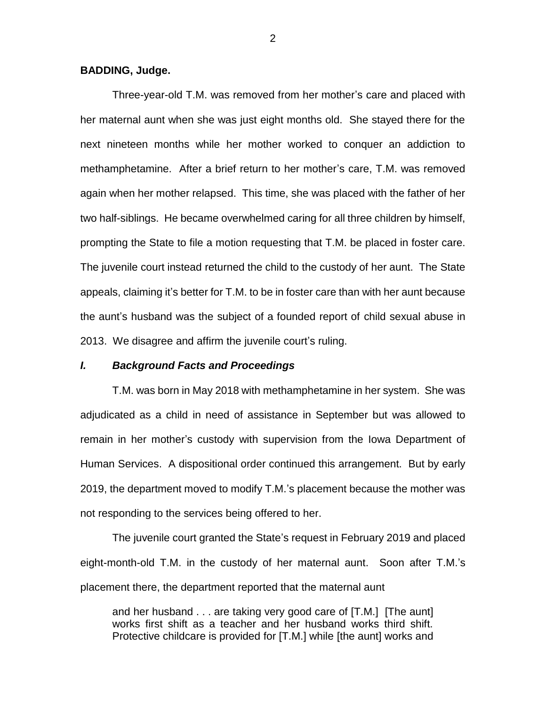#### **BADDING, Judge.**

Three-year-old T.M. was removed from her mother's care and placed with her maternal aunt when she was just eight months old. She stayed there for the next nineteen months while her mother worked to conquer an addiction to methamphetamine. After a brief return to her mother's care, T.M. was removed again when her mother relapsed. This time, she was placed with the father of her two half-siblings. He became overwhelmed caring for all three children by himself, prompting the State to file a motion requesting that T.M. be placed in foster care. The juvenile court instead returned the child to the custody of her aunt. The State appeals, claiming it's better for T.M. to be in foster care than with her aunt because the aunt's husband was the subject of a founded report of child sexual abuse in 2013. We disagree and affirm the juvenile court's ruling.

#### *I. Background Facts and Proceedings*

T.M. was born in May 2018 with methamphetamine in her system. She was adjudicated as a child in need of assistance in September but was allowed to remain in her mother's custody with supervision from the Iowa Department of Human Services. A dispositional order continued this arrangement. But by early 2019, the department moved to modify T.M.'s placement because the mother was not responding to the services being offered to her.

The juvenile court granted the State's request in February 2019 and placed eight-month-old T.M. in the custody of her maternal aunt. Soon after T.M.'s placement there, the department reported that the maternal aunt

and her husband . . . are taking very good care of [T.M.] [The aunt] works first shift as a teacher and her husband works third shift. Protective childcare is provided for [T.M.] while [the aunt] works and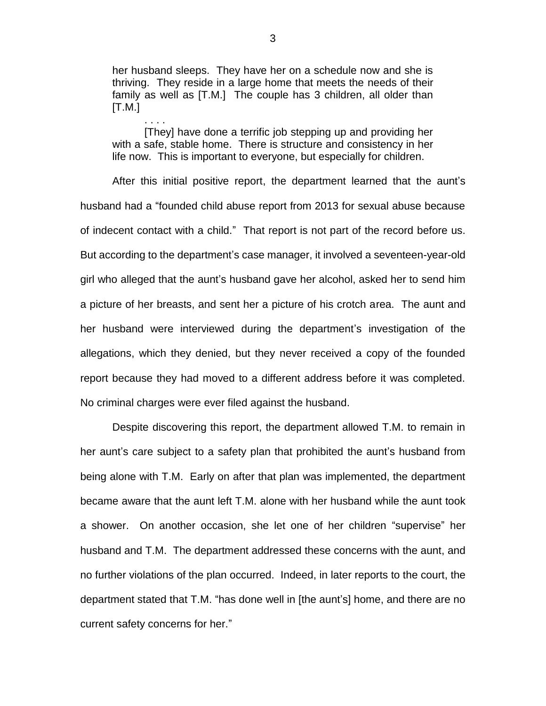her husband sleeps. They have her on a schedule now and she is thriving. They reside in a large home that meets the needs of their family as well as [T.M.] The couple has 3 children, all older than  $[T.M.]$ 

[They] have done a terrific job stepping up and providing her with a safe, stable home. There is structure and consistency in her life now. This is important to everyone, but especially for children.

. . . .

After this initial positive report, the department learned that the aunt's husband had a "founded child abuse report from 2013 for sexual abuse because of indecent contact with a child." That report is not part of the record before us. But according to the department's case manager, it involved a seventeen-year-old girl who alleged that the aunt's husband gave her alcohol, asked her to send him a picture of her breasts, and sent her a picture of his crotch area. The aunt and her husband were interviewed during the department's investigation of the allegations, which they denied, but they never received a copy of the founded report because they had moved to a different address before it was completed. No criminal charges were ever filed against the husband.

Despite discovering this report, the department allowed T.M. to remain in her aunt's care subject to a safety plan that prohibited the aunt's husband from being alone with T.M. Early on after that plan was implemented, the department became aware that the aunt left T.M. alone with her husband while the aunt took a shower. On another occasion, she let one of her children "supervise" her husband and T.M. The department addressed these concerns with the aunt, and no further violations of the plan occurred. Indeed, in later reports to the court, the department stated that T.M. "has done well in [the aunt's] home, and there are no current safety concerns for her."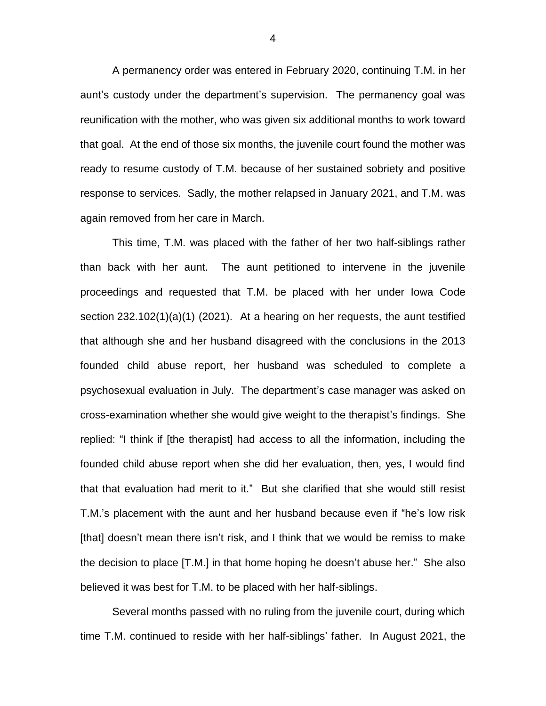A permanency order was entered in February 2020, continuing T.M. in her aunt's custody under the department's supervision. The permanency goal was reunification with the mother, who was given six additional months to work toward that goal. At the end of those six months, the juvenile court found the mother was ready to resume custody of T.M. because of her sustained sobriety and positive response to services. Sadly, the mother relapsed in January 2021, and T.M. was again removed from her care in March.

This time, T.M. was placed with the father of her two half-siblings rather than back with her aunt. The aunt petitioned to intervene in the juvenile proceedings and requested that T.M. be placed with her under Iowa Code section 232.102(1)(a)(1) (2021). At a hearing on her requests, the aunt testified that although she and her husband disagreed with the conclusions in the 2013 founded child abuse report, her husband was scheduled to complete a psychosexual evaluation in July. The department's case manager was asked on cross-examination whether she would give weight to the therapist's findings. She replied: "I think if [the therapist] had access to all the information, including the founded child abuse report when she did her evaluation, then, yes, I would find that that evaluation had merit to it." But she clarified that she would still resist T.M.'s placement with the aunt and her husband because even if "he's low risk [that] doesn't mean there isn't risk, and I think that we would be remiss to make the decision to place [T.M.] in that home hoping he doesn't abuse her." She also believed it was best for T.M. to be placed with her half-siblings.

Several months passed with no ruling from the juvenile court, during which time T.M. continued to reside with her half-siblings' father. In August 2021, the

4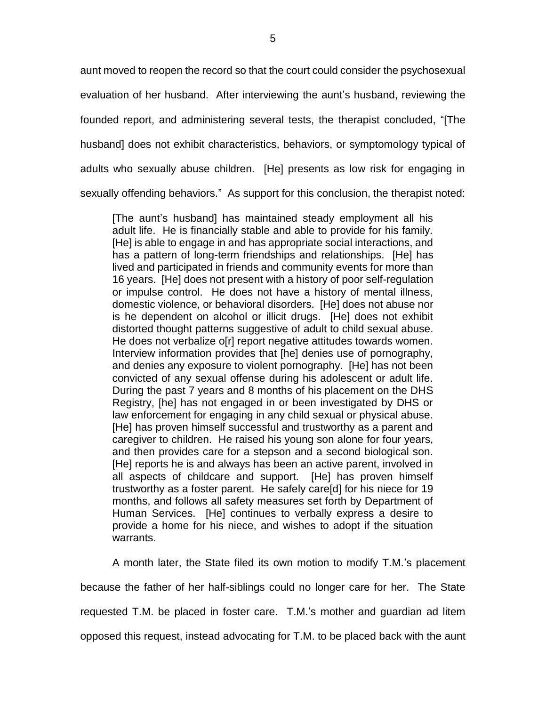aunt moved to reopen the record so that the court could consider the psychosexual evaluation of her husband. After interviewing the aunt's husband, reviewing the founded report, and administering several tests, the therapist concluded, "[The husband] does not exhibit characteristics, behaviors, or symptomology typical of adults who sexually abuse children. [He] presents as low risk for engaging in sexually offending behaviors." As support for this conclusion, the therapist noted:

[The aunt's husband] has maintained steady employment all his adult life. He is financially stable and able to provide for his family. [He] is able to engage in and has appropriate social interactions, and has a pattern of long-term friendships and relationships. [He] has lived and participated in friends and community events for more than 16 years. [He] does not present with a history of poor self-regulation or impulse control. He does not have a history of mental illness, domestic violence, or behavioral disorders. [He] does not abuse nor is he dependent on alcohol or illicit drugs. [He] does not exhibit distorted thought patterns suggestive of adult to child sexual abuse. He does not verbalize o[r] report negative attitudes towards women. Interview information provides that [he] denies use of pornography, and denies any exposure to violent pornography. [He] has not been convicted of any sexual offense during his adolescent or adult life. During the past 7 years and 8 months of his placement on the DHS Registry, [he] has not engaged in or been investigated by DHS or law enforcement for engaging in any child sexual or physical abuse. [He] has proven himself successful and trustworthy as a parent and caregiver to children. He raised his young son alone for four years, and then provides care for a stepson and a second biological son. [He] reports he is and always has been an active parent, involved in all aspects of childcare and support. [He] has proven himself trustworthy as a foster parent. He safely care[d] for his niece for 19 months, and follows all safety measures set forth by Department of Human Services. [He] continues to verbally express a desire to provide a home for his niece, and wishes to adopt if the situation warrants.

A month later, the State filed its own motion to modify T.M.'s placement because the father of her half-siblings could no longer care for her. The State requested T.M. be placed in foster care. T.M.'s mother and guardian ad litem opposed this request, instead advocating for T.M. to be placed back with the aunt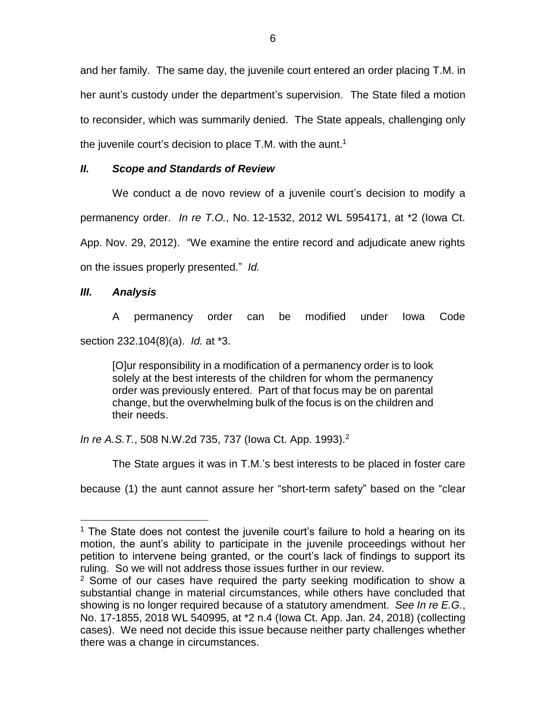and her family. The same day, the juvenile court entered an order placing T.M. in her aunt's custody under the department's supervision. The State filed a motion to reconsider, which was summarily denied. The State appeals, challenging only the juvenile court's decision to place T.M. with the aunt.<sup>1</sup>

## *II. Scope and Standards of Review*

We conduct a de novo review of a juvenile court's decision to modify a permanency order. *In re T.O.*, No. 12-1532, 2012 WL 5954171, at \*2 (Iowa Ct. App. Nov. 29, 2012). "We examine the entire record and adjudicate anew rights on the issues properly presented." *Id.*

## *III. Analysis*

 $\overline{a}$ 

A permanency order can be modified under Iowa Code section 232.104(8)(a). *Id.* at \*3.

[O]ur responsibility in a modification of a permanency order is to look solely at the best interests of the children for whom the permanency order was previously entered. Part of that focus may be on parental change, but the overwhelming bulk of the focus is on the children and their needs.

*In re A.S.T.*, 508 N.W.2d 735, 737 (lowa Ct. App. 1993).<sup>2</sup>

The State argues it was in T.M.'s best interests to be placed in foster care

because (1) the aunt cannot assure her "short-term safety" based on the "clear

<sup>&</sup>lt;sup>1</sup> The State does not contest the juvenile court's failure to hold a hearing on its motion, the aunt's ability to participate in the juvenile proceedings without her petition to intervene being granted, or the court's lack of findings to support its ruling. So we will not address those issues further in our review.

<sup>&</sup>lt;sup>2</sup> Some of our cases have required the party seeking modification to show a substantial change in material circumstances, while others have concluded that showing is no longer required because of a statutory amendment. *See In re E.G.*, No. 17-1855, 2018 WL 540995, at \*2 n.4 (Iowa Ct. App. Jan. 24, 2018) (collecting cases). We need not decide this issue because neither party challenges whether there was a change in circumstances.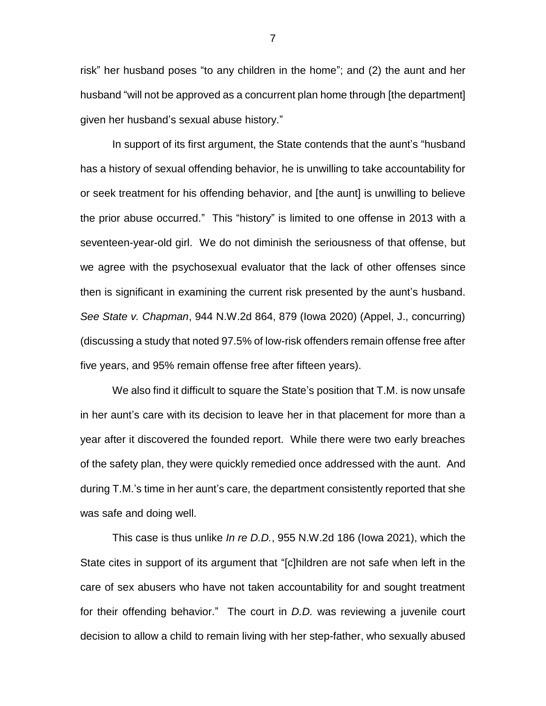risk" her husband poses "to any children in the home"; and (2) the aunt and her husband "will not be approved as a concurrent plan home through [the department] given her husband's sexual abuse history."

In support of its first argument, the State contends that the aunt's "husband has a history of sexual offending behavior, he is unwilling to take accountability for or seek treatment for his offending behavior, and [the aunt] is unwilling to believe the prior abuse occurred." This "history" is limited to one offense in 2013 with a seventeen-year-old girl. We do not diminish the seriousness of that offense, but we agree with the psychosexual evaluator that the lack of other offenses since then is significant in examining the current risk presented by the aunt's husband. *See State v. Chapman*, 944 N.W.2d 864, 879 (Iowa 2020) (Appel, J., concurring) (discussing a study that noted 97.5% of low-risk offenders remain offense free after five years, and 95% remain offense free after fifteen years).

We also find it difficult to square the State's position that T.M. is now unsafe in her aunt's care with its decision to leave her in that placement for more than a year after it discovered the founded report. While there were two early breaches of the safety plan, they were quickly remedied once addressed with the aunt. And during T.M.'s time in her aunt's care, the department consistently reported that she was safe and doing well.

This case is thus unlike *In re D.D.*, 955 N.W.2d 186 (Iowa 2021), which the State cites in support of its argument that "[c]hildren are not safe when left in the care of sex abusers who have not taken accountability for and sought treatment for their offending behavior." The court in *D.D.* was reviewing a juvenile court decision to allow a child to remain living with her step-father, who sexually abused

7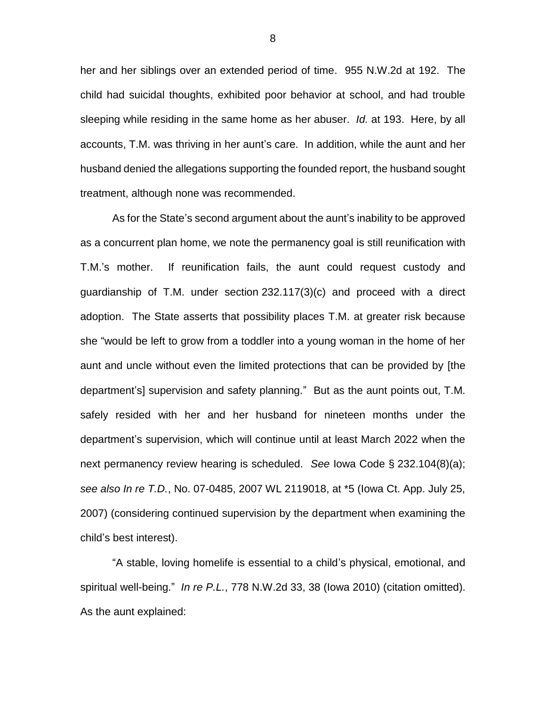her and her siblings over an extended period of time. 955 N.W.2d at 192. The child had suicidal thoughts, exhibited poor behavior at school, and had trouble sleeping while residing in the same home as her abuser. *Id.* at 193. Here, by all accounts, T.M. was thriving in her aunt's care. In addition, while the aunt and her husband denied the allegations supporting the founded report, the husband sought treatment, although none was recommended.

As for the State's second argument about the aunt's inability to be approved as a concurrent plan home, we note the permanency goal is still reunification with T.M.'s mother. If reunification fails, the aunt could request custody and guardianship of T.M. under section 232.117(3)(c) and proceed with a direct adoption. The State asserts that possibility places T.M. at greater risk because she "would be left to grow from a toddler into a young woman in the home of her aunt and uncle without even the limited protections that can be provided by [the department's] supervision and safety planning." But as the aunt points out, T.M. safely resided with her and her husband for nineteen months under the department's supervision, which will continue until at least March 2022 when the next permanency review hearing is scheduled. *See* Iowa Code § 232.104(8)(a); *see also In re T.D.*, No. 07-0485, 2007 WL 2119018, at \*5 (Iowa Ct. App. July 25, 2007) (considering continued supervision by the department when examining the child's best interest).

"A stable, loving homelife is essential to a child's physical, emotional, and spiritual well-being." *In re P.L.*, 778 N.W.2d 33, 38 (Iowa 2010) (citation omitted). As the aunt explained:

8